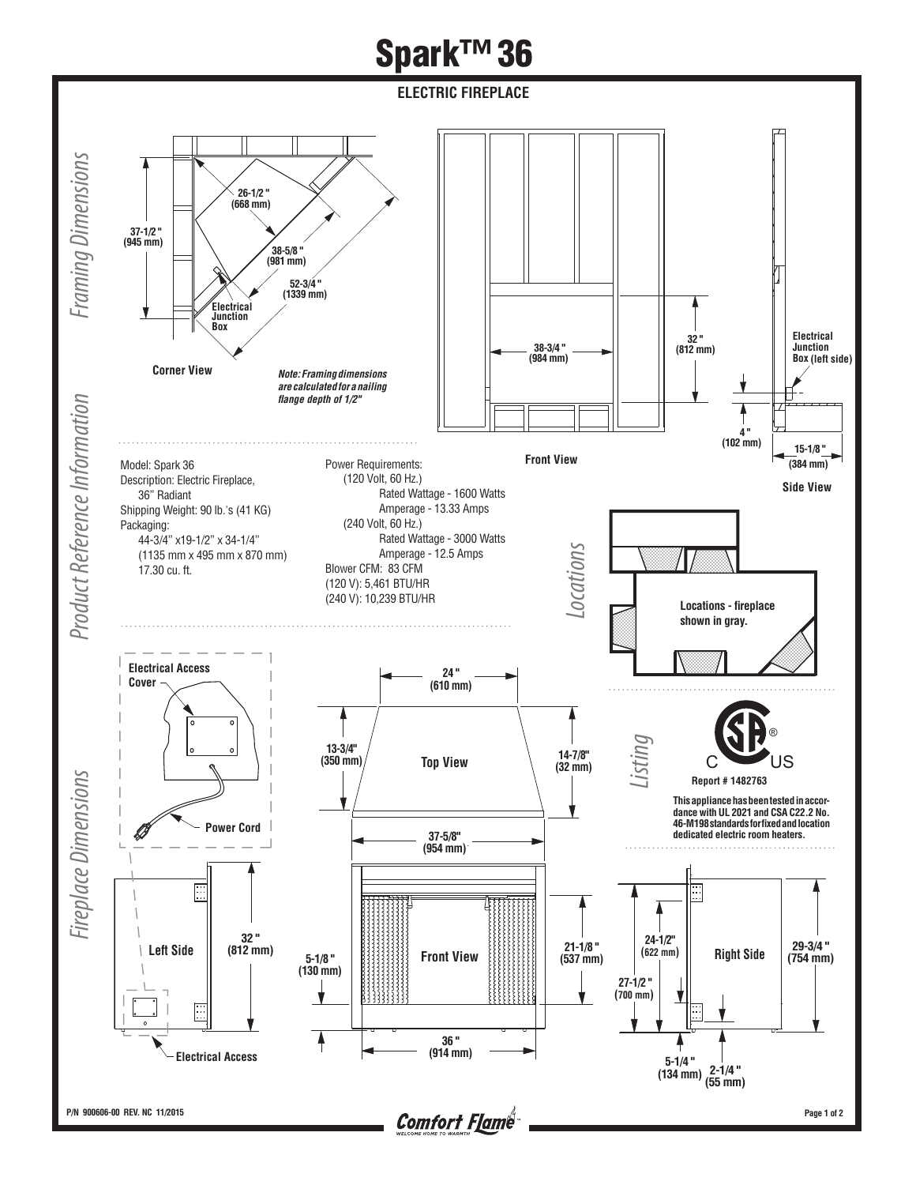## **Spark™ 36**